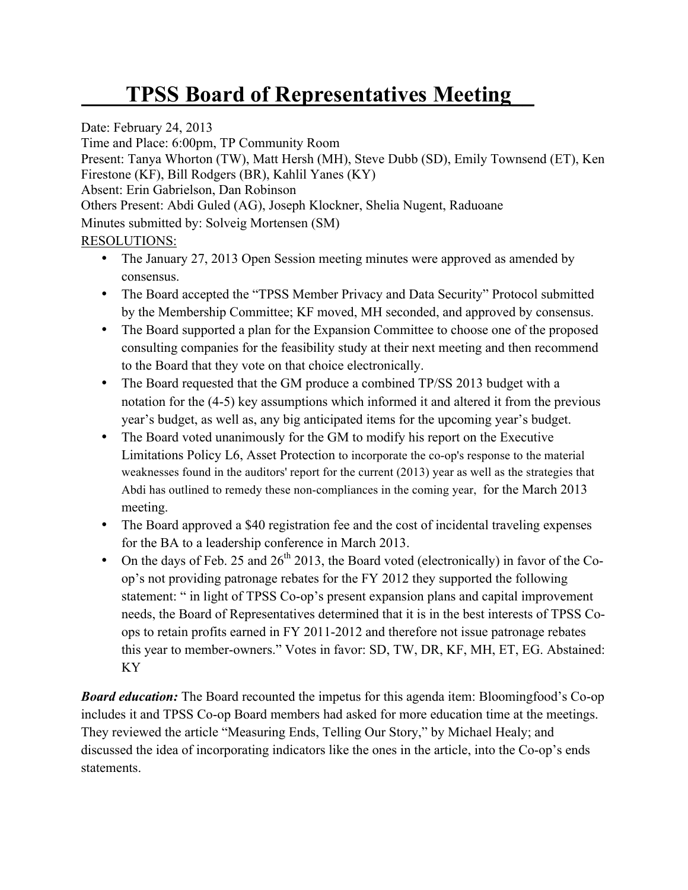## **TPSS Board of Representatives Meeting\_\_**

Date: February 24, 2013

Time and Place: 6:00pm, TP Community Room

Present: Tanya Whorton (TW), Matt Hersh (MH), Steve Dubb (SD), Emily Townsend (ET), Ken Firestone (KF), Bill Rodgers (BR), Kahlil Yanes (KY)

Absent: Erin Gabrielson, Dan Robinson

Others Present: Abdi Guled (AG), Joseph Klockner, Shelia Nugent, Raduoane

Minutes submitted by: Solveig Mortensen (SM)

## RESOLUTIONS:

- The January 27, 2013 Open Session meeting minutes were approved as amended by consensus.
- The Board accepted the "TPSS Member Privacy and Data Security" Protocol submitted by the Membership Committee; KF moved, MH seconded, and approved by consensus.
- The Board supported a plan for the Expansion Committee to choose one of the proposed consulting companies for the feasibility study at their next meeting and then recommend to the Board that they vote on that choice electronically.
- The Board requested that the GM produce a combined TP/SS 2013 budget with a notation for the (4-5) key assumptions which informed it and altered it from the previous year's budget, as well as, any big anticipated items for the upcoming year's budget.
- The Board voted unanimously for the GM to modify his report on the Executive Limitations Policy L6, Asset Protection to incorporate the co-op's response to the material weaknesses found in the auditors' report for the current (2013) year as well as the strategies that Abdi has outlined to remedy these non-compliances in the coming year, for the March 2013 meeting.
- The Board approved a \$40 registration fee and the cost of incidental traveling expenses for the BA to a leadership conference in March 2013.
- On the days of Feb. 25 and  $26<sup>th</sup>$  2013, the Board voted (electronically) in favor of the Coop's not providing patronage rebates for the FY 2012 they supported the following statement: " in light of TPSS Co-op's present expansion plans and capital improvement needs, the Board of Representatives determined that it is in the best interests of TPSS Coops to retain profits earned in FY 2011-2012 and therefore not issue patronage rebates this year to member-owners." Votes in favor: SD, TW, DR, KF, MH, ET, EG. Abstained: KY

**Board education:** The Board recounted the impetus for this agenda item: Bloomingfood's Co-op includes it and TPSS Co-op Board members had asked for more education time at the meetings. They reviewed the article "Measuring Ends, Telling Our Story," by Michael Healy; and discussed the idea of incorporating indicators like the ones in the article, into the Co-op's ends statements.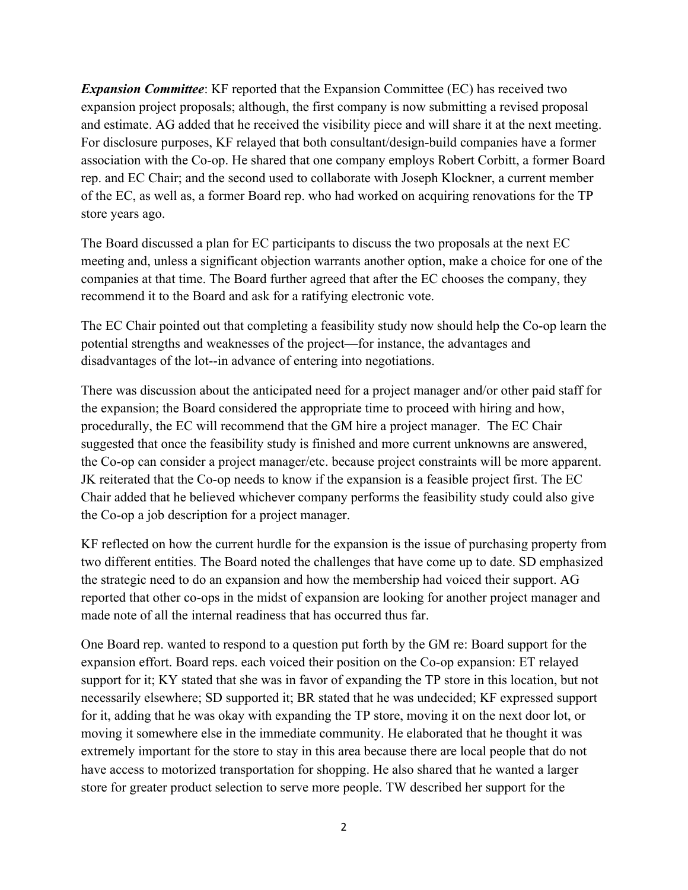*Expansion Committee*: KF reported that the Expansion Committee (EC) has received two expansion project proposals; although, the first company is now submitting a revised proposal and estimate. AG added that he received the visibility piece and will share it at the next meeting. For disclosure purposes, KF relayed that both consultant/design-build companies have a former association with the Co-op. He shared that one company employs Robert Corbitt, a former Board rep. and EC Chair; and the second used to collaborate with Joseph Klockner, a current member of the EC, as well as, a former Board rep. who had worked on acquiring renovations for the TP store years ago.

The Board discussed a plan for EC participants to discuss the two proposals at the next EC meeting and, unless a significant objection warrants another option, make a choice for one of the companies at that time. The Board further agreed that after the EC chooses the company, they recommend it to the Board and ask for a ratifying electronic vote.

The EC Chair pointed out that completing a feasibility study now should help the Co-op learn the potential strengths and weaknesses of the project—for instance, the advantages and disadvantages of the lot--in advance of entering into negotiations.

There was discussion about the anticipated need for a project manager and/or other paid staff for the expansion; the Board considered the appropriate time to proceed with hiring and how, procedurally, the EC will recommend that the GM hire a project manager. The EC Chair suggested that once the feasibility study is finished and more current unknowns are answered, the Co-op can consider a project manager/etc. because project constraints will be more apparent. JK reiterated that the Co-op needs to know if the expansion is a feasible project first. The EC Chair added that he believed whichever company performs the feasibility study could also give the Co-op a job description for a project manager.

KF reflected on how the current hurdle for the expansion is the issue of purchasing property from two different entities. The Board noted the challenges that have come up to date. SD emphasized the strategic need to do an expansion and how the membership had voiced their support. AG reported that other co-ops in the midst of expansion are looking for another project manager and made note of all the internal readiness that has occurred thus far.

One Board rep. wanted to respond to a question put forth by the GM re: Board support for the expansion effort. Board reps. each voiced their position on the Co-op expansion: ET relayed support for it; KY stated that she was in favor of expanding the TP store in this location, but not necessarily elsewhere; SD supported it; BR stated that he was undecided; KF expressed support for it, adding that he was okay with expanding the TP store, moving it on the next door lot, or moving it somewhere else in the immediate community. He elaborated that he thought it was extremely important for the store to stay in this area because there are local people that do not have access to motorized transportation for shopping. He also shared that he wanted a larger store for greater product selection to serve more people. TW described her support for the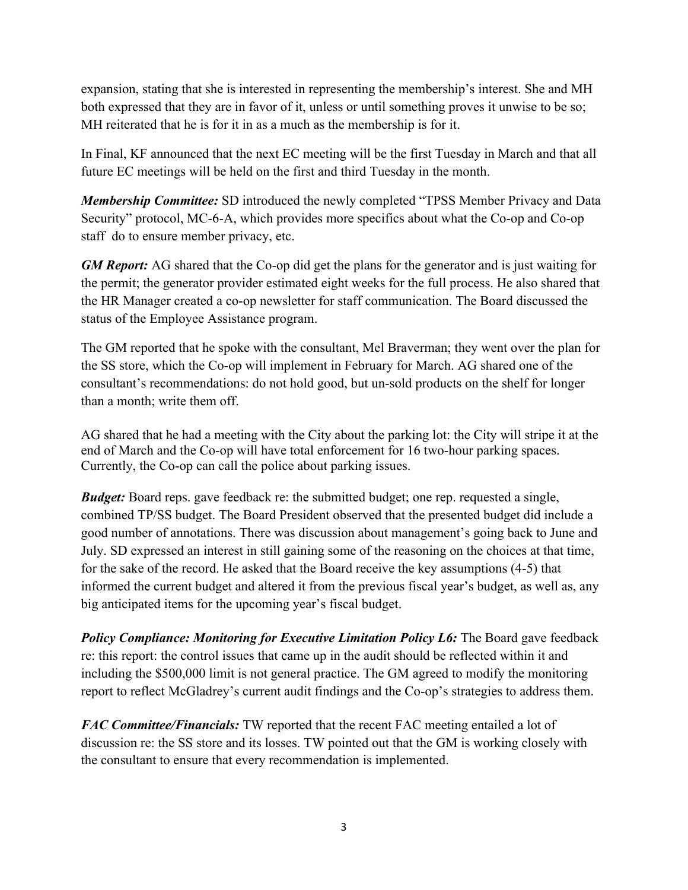expansion, stating that she is interested in representing the membership's interest. She and MH both expressed that they are in favor of it, unless or until something proves it unwise to be so; MH reiterated that he is for it in as a much as the membership is for it.

In Final, KF announced that the next EC meeting will be the first Tuesday in March and that all future EC meetings will be held on the first and third Tuesday in the month.

*Membership Committee:* SD introduced the newly completed "TPSS Member Privacy and Data Security" protocol, MC-6-A, which provides more specifics about what the Co-op and Co-op staff do to ensure member privacy, etc.

*GM Report:* AG shared that the Co-op did get the plans for the generator and is just waiting for the permit; the generator provider estimated eight weeks for the full process. He also shared that the HR Manager created a co-op newsletter for staff communication. The Board discussed the status of the Employee Assistance program.

The GM reported that he spoke with the consultant, Mel Braverman; they went over the plan for the SS store, which the Co-op will implement in February for March. AG shared one of the consultant's recommendations: do not hold good, but un-sold products on the shelf for longer than a month; write them off.

AG shared that he had a meeting with the City about the parking lot: the City will stripe it at the end of March and the Co-op will have total enforcement for 16 two-hour parking spaces. Currently, the Co-op can call the police about parking issues.

*Budget:* Board reps. gave feedback re: the submitted budget; one rep. requested a single, combined TP/SS budget. The Board President observed that the presented budget did include a good number of annotations. There was discussion about management's going back to June and July. SD expressed an interest in still gaining some of the reasoning on the choices at that time, for the sake of the record. He asked that the Board receive the key assumptions (4-5) that informed the current budget and altered it from the previous fiscal year's budget, as well as, any big anticipated items for the upcoming year's fiscal budget.

*Policy Compliance: Monitoring for Executive Limitation Policy L6:* The Board gave feedback re: this report: the control issues that came up in the audit should be reflected within it and including the \$500,000 limit is not general practice. The GM agreed to modify the monitoring report to reflect McGladrey's current audit findings and the Co-op's strategies to address them.

*FAC Committee/Financials:* TW reported that the recent FAC meeting entailed a lot of discussion re: the SS store and its losses. TW pointed out that the GM is working closely with the consultant to ensure that every recommendation is implemented.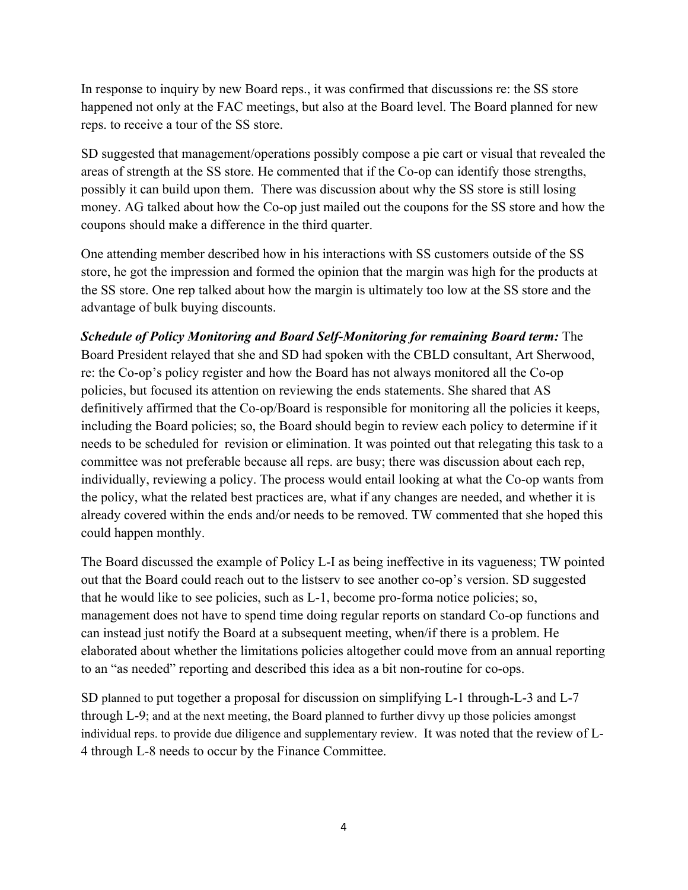In response to inquiry by new Board reps., it was confirmed that discussions re: the SS store happened not only at the FAC meetings, but also at the Board level. The Board planned for new reps. to receive a tour of the SS store.

SD suggested that management/operations possibly compose a pie cart or visual that revealed the areas of strength at the SS store. He commented that if the Co-op can identify those strengths, possibly it can build upon them. There was discussion about why the SS store is still losing money. AG talked about how the Co-op just mailed out the coupons for the SS store and how the coupons should make a difference in the third quarter.

One attending member described how in his interactions with SS customers outside of the SS store, he got the impression and formed the opinion that the margin was high for the products at the SS store. One rep talked about how the margin is ultimately too low at the SS store and the advantage of bulk buying discounts.

*Schedule of Policy Monitoring and Board Self-Monitoring for remaining Board term:* The Board President relayed that she and SD had spoken with the CBLD consultant, Art Sherwood, re: the Co-op's policy register and how the Board has not always monitored all the Co-op policies, but focused its attention on reviewing the ends statements. She shared that AS definitively affirmed that the Co-op/Board is responsible for monitoring all the policies it keeps, including the Board policies; so, the Board should begin to review each policy to determine if it needs to be scheduled for revision or elimination. It was pointed out that relegating this task to a committee was not preferable because all reps. are busy; there was discussion about each rep, individually, reviewing a policy. The process would entail looking at what the Co-op wants from the policy, what the related best practices are, what if any changes are needed, and whether it is already covered within the ends and/or needs to be removed. TW commented that she hoped this could happen monthly.

The Board discussed the example of Policy L-I as being ineffective in its vagueness; TW pointed out that the Board could reach out to the listserv to see another co-op's version. SD suggested that he would like to see policies, such as L-1, become pro-forma notice policies; so, management does not have to spend time doing regular reports on standard Co-op functions and can instead just notify the Board at a subsequent meeting, when/if there is a problem. He elaborated about whether the limitations policies altogether could move from an annual reporting to an "as needed" reporting and described this idea as a bit non-routine for co-ops.

SD planned to put together a proposal for discussion on simplifying L-1 through-L-3 and L-7 through L-9; and at the next meeting, the Board planned to further divvy up those policies amongst individual reps. to provide due diligence and supplementary review. It was noted that the review of L-4 through L-8 needs to occur by the Finance Committee.